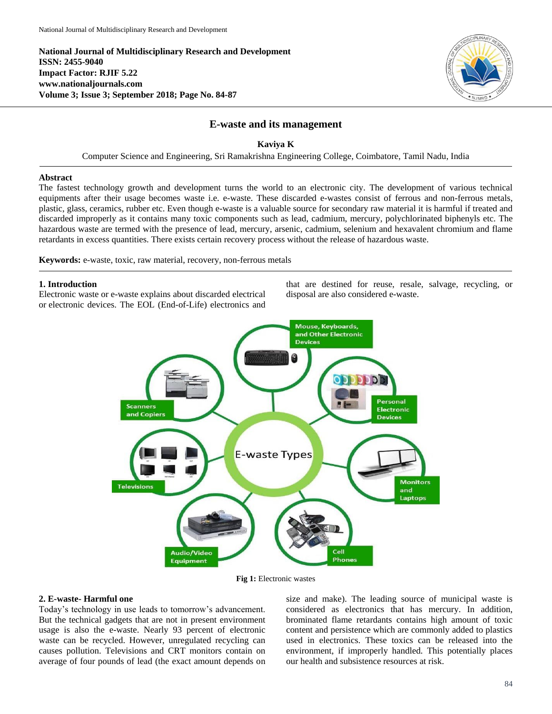**National Journal of Multidisciplinary Research and Development ISSN: 2455-9040 Impact Factor: RJIF 5.22 www.nationaljournals.com Volume 3; Issue 3; September 2018; Page No. 84-87**



# **E-waste and its management**

## **Kaviya K**

Computer Science and Engineering, Sri Ramakrishna Engineering College, Coimbatore, Tamil Nadu, India

### **Abstract**

The fastest technology growth and development turns the world to an electronic city. The development of various technical equipments after their usage becomes waste i.e. e-waste. These discarded e-wastes consist of ferrous and non-ferrous metals, plastic, glass, ceramics, rubber etc. Even though e-waste is a valuable source for secondary raw material it is harmful if treated and discarded improperly as it contains many toxic components such as lead, cadmium, mercury, polychlorinated biphenyls etc. The hazardous waste are termed with the presence of lead, mercury, arsenic, cadmium, selenium and hexavalent chromium and flame retardants in excess quantities. There exists certain recovery process without the release of hazardous waste.

**Keywords:** e-waste, toxic, raw material, recovery, non-ferrous metals

#### **1. Introduction**

Electronic waste or e-waste explains about discarded electrical or electronic devices. The EOL (End-of-Life) electronics and that are destined for reuse, resale, salvage, recycling, or disposal are also considered e-waste.



**Fig 1:** Electronic wastes

#### **2. E-waste- Harmful one**

Today's technology in use leads to tomorrow's advancement. But the technical gadgets that are not in present environment usage is also the e-waste. Nearly 93 percent of electronic waste can be recycled. However, unregulated recycling can causes pollution. Televisions and CRT monitors contain on average of four pounds of lead (the exact amount depends on

size and make). The leading source of municipal waste is considered as electronics that has mercury. In addition, brominated flame retardants contains high amount of toxic content and persistence which are commonly added to plastics used in electronics. These toxics can be released into the environment, if improperly handled. This potentially places our health and subsistence resources at risk.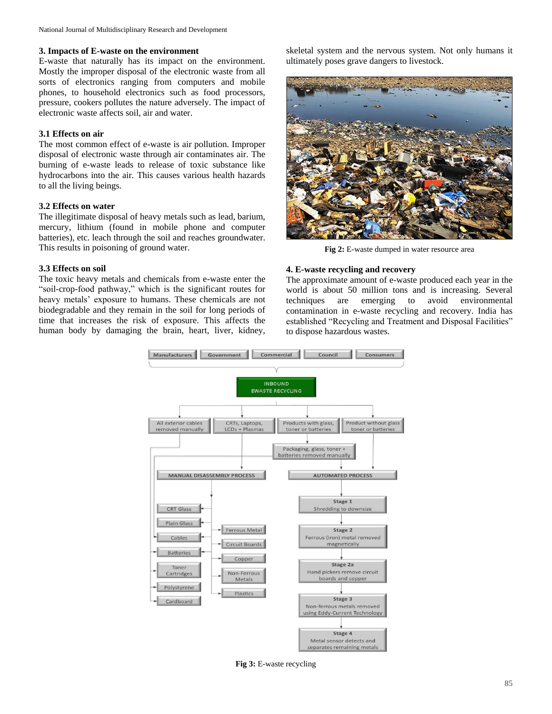#### **3. Impacts of E-waste on the environment**

E-waste that naturally has its impact on the environment. Mostly the improper disposal of the electronic waste from all sorts of electronics ranging from computers and mobile phones, to household electronics such as food processors, pressure, cookers pollutes the nature adversely. The impact of electronic waste affects soil, air and water.

# **3.1 Effects on air**

The most common effect of e-waste is air pollution. Improper disposal of electronic waste through air contaminates air. The burning of e-waste leads to release of toxic substance like hydrocarbons into the air. This causes various health hazards to all the living beings.

#### **3.2 Effects on water**

The illegitimate disposal of heavy metals such as lead, barium, mercury, lithium (found in mobile phone and computer batteries), etc. leach through the soil and reaches groundwater. This results in poisoning of ground water.

#### **3.3 Effects on soil**

The toxic heavy metals and chemicals from e-waste enter the "soil-crop-food pathway," which is the significant routes for heavy metals' exposure to humans. These chemicals are not biodegradable and they remain in the soil for long periods of time that increases the risk of exposure. This affects the human body by damaging the brain, heart, liver, kidney,

skeletal system and the nervous system. Not only humans it ultimately poses grave dangers to livestock.



**Fig 2:** E-waste dumped in water resource area

#### **4. E-waste recycling and recovery**

The approximate amount of e-waste produced each year in the world is about 50 million tons and is increasing. Several techniques are emerging to avoid environmental contamination in e-waste recycling and recovery. India has established "Recycling and Treatment and Disposal Facilities" to dispose hazardous wastes.



**Fig 3:** E-waste recycling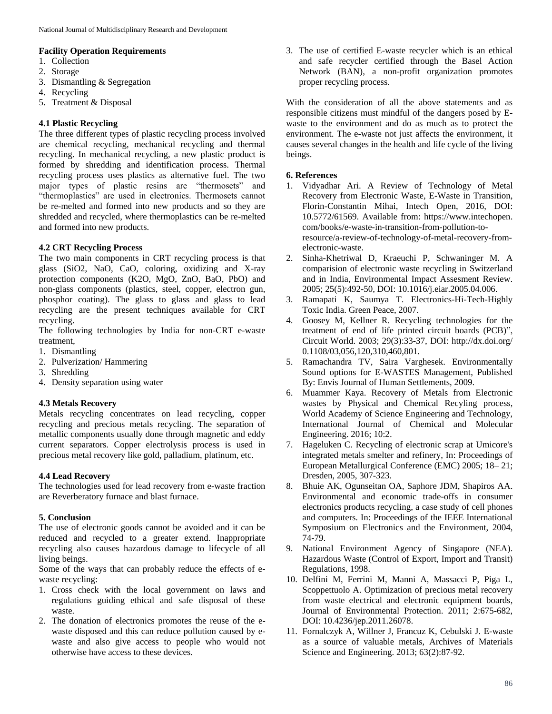## **Facility Operation Requirements**

- 1. Collection
- 2. Storage
- 3. Dismantling & Segregation
- 4. Recycling
- 5. Treatment & Disposal

# **4.1 Plastic Recycling**

The three different types of plastic recycling process involved are chemical recycling, mechanical recycling and thermal recycling. In mechanical recycling, a new plastic product is formed by shredding and identification process. Thermal recycling process uses plastics as alternative fuel. The two major types of plastic resins are "thermosets" and "thermoplastics" are used in electronics. Thermosets cannot be re-melted and formed into new products and so they are shredded and recycled, where thermoplastics can be re-melted and formed into new products.

# **4.2 CRT Recycling Process**

The two main components in CRT recycling process is that glass (SiO2, NaO, CaO, coloring, oxidizing and X-ray protection components (K2O, MgO, ZnO, BaO, PbO) and non-glass components (plastics, steel, copper, electron gun, phosphor coating). The glass to glass and glass to lead recycling are the present techniques available for CRT recycling.

The following technologies by India for non-CRT e-waste treatment,

- 1. Dismantling
- 2. Pulverization/ Hammering
- 3. Shredding
- 4. Density separation using water

### **4.3 Metals Recovery**

Metals recycling concentrates on lead recycling, copper recycling and precious metals recycling. The separation of metallic components usually done through magnetic and eddy current separators. Copper electrolysis process is used in precious metal recovery like gold, palladium, platinum, etc.

### **4.4 Lead Recovery**

The technologies used for lead recovery from e-waste fraction are Reverberatory furnace and blast furnace.

### **5. Conclusion**

The use of electronic goods cannot be avoided and it can be reduced and recycled to a greater extend. Inappropriate recycling also causes hazardous damage to lifecycle of all living beings.

Some of the ways that can probably reduce the effects of ewaste recycling:

- 1. Cross check with the local government on laws and regulations guiding ethical and safe disposal of these waste.
- 2. The donation of electronics promotes the reuse of the ewaste disposed and this can reduce pollution caused by ewaste and also give access to people who would not otherwise have access to these devices.

3. The use of certified E-waste recycler which is an ethical and safe recycler certified through the Basel Action Network (BAN), a non-profit organization promotes proper recycling process.

With the consideration of all the above statements and as responsible citizens must mindful of the dangers posed by Ewaste to the environment and do as much as to protect the environment. The e-waste not just affects the environment, it causes several changes in the health and life cycle of the living beings.

## **6. References**

- 1. Vidyadhar Ari. A Review of Technology of Metal Recovery from Electronic Waste, E-Waste in Transition, Florin-Constantin Mihai, Intech Open, 2016, DOI: 10.5772/61569. Available from: https://www.intechopen. com/books/e-waste-in-transition-from-pollution-toresource/a-review-of-technology-of-metal-recovery-fromelectronic-waste.
- 2. Sinha-Khetriwal D, Kraeuchi P, Schwaninger M. A comparision of electronic waste recycling in Switzerland and in India, Environmental Impact Assesment Review. 2005; 25(5):492-50, DOI: 10.1016/j.eiar.2005.04.006.
- 3. Ramapati K, Saumya T. Electronics-Hi-Tech-Highly Toxic India. Green Peace, 2007.
- 4. Goosey M, Kellner R. Recycling technologies for the treatment of end of life printed circuit boards (PCB)", Circuit World. 2003; 29(3):33-37, DOI: http://dx.doi.org/ 0.1108/03,056,120,310,460,801.
- 5. Ramachandra TV, Saira Varghesek. Environmentally Sound options for E-WASTES Management, Published By: Envis Journal of Human Settlements, 2009.
- 6. Muammer Kaya. Recovery of Metals from Electronic wastes by Physical and Chemical Recyling process, World Academy of Science Engineering and Technology, International Journal of Chemical and Molecular Engineering. 2016; 10:2.
- 7. Hageluken C. Recycling of electronic scrap at Umicore's integrated metals smelter and refinery, In: Proceedings of European Metallurgical Conference (EMC) 2005; 18– 21; Dresden, 2005, 307-323.
- 8. Bhuie AK, Ogunseitan OA, Saphore JDM, Shapiros AA. Environmental and economic trade-offs in consumer electronics products recycling, a case study of cell phones and computers. In: Proceedings of the IEEE International Symposium on Electronics and the Environment, 2004, 74-79.
- 9. National Environment Agency of Singapore (NEA). Hazardous Waste (Control of Export, Import and Transit) Regulations, 1998.
- 10. Delfini M, Ferrini M, Manni A, Massacci P, Piga L, Scoppettuolo A. Optimization of precious metal recovery from waste electrical and electronic equipment boards, Journal of Environmental Protection. 2011; 2:675-682, DOI: 10.4236/jep.2011.26078.
- 11. Fornalczyk A, Willner J, Francuz K, Cebulski J. E-waste as a source of valuable metals, Archives of Materials Science and Engineering. 2013; 63(2):87-92.